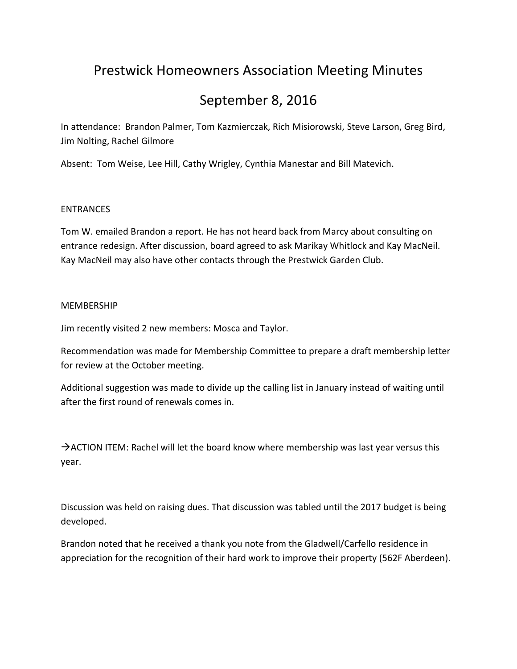# Prestwick Homeowners Association Meeting Minutes

# September 8, 2016

In attendance: Brandon Palmer, Tom Kazmierczak, Rich Misiorowski, Steve Larson, Greg Bird, Jim Nolting, Rachel Gilmore

Absent: Tom Weise, Lee Hill, Cathy Wrigley, Cynthia Manestar and Bill Matevich.

### ENTRANCES

Tom W. emailed Brandon a report. He has not heard back from Marcy about consulting on entrance redesign. After discussion, board agreed to ask Marikay Whitlock and Kay MacNeil. Kay MacNeil may also have other contacts through the Prestwick Garden Club.

#### MEMBERSHIP

Jim recently visited 2 new members: Mosca and Taylor.

Recommendation was made for Membership Committee to prepare a draft membership letter for review at the October meeting.

Additional suggestion was made to divide up the calling list in January instead of waiting until after the first round of renewals comes in.

 $\rightarrow$  ACTION ITEM: Rachel will let the board know where membership was last year versus this year.

Discussion was held on raising dues. That discussion was tabled until the 2017 budget is being developed.

Brandon noted that he received a thank you note from the Gladwell/Carfello residence in appreciation for the recognition of their hard work to improve their property (562F Aberdeen).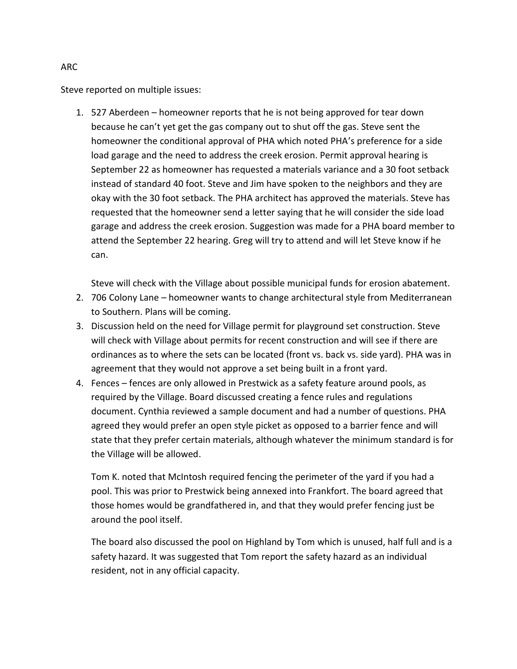Steve reported on multiple issues:

1. 527 Aberdeen – homeowner reports that he is not being approved for tear down because he can't yet get the gas company out to shut off the gas. Steve sent the homeowner the conditional approval of PHA which noted PHA's preference for a side load garage and the need to address the creek erosion. Permit approval hearing is September 22 as homeowner has requested a materials variance and a 30 foot setback instead of standard 40 foot. Steve and Jim have spoken to the neighbors and they are okay with the 30 foot setback. The PHA architect has approved the materials. Steve has requested that the homeowner send a letter saying that he will consider the side load garage and address the creek erosion. Suggestion was made for a PHA board member to attend the September 22 hearing. Greg will try to attend and will let Steve know if he can.

Steve will check with the Village about possible municipal funds for erosion abatement.

- 2. 706 Colony Lane homeowner wants to change architectural style from Mediterranean to Southern. Plans will be coming.
- 3. Discussion held on the need for Village permit for playground set construction. Steve will check with Village about permits for recent construction and will see if there are ordinances as to where the sets can be located (front vs. back vs. side yard). PHA was in agreement that they would not approve a set being built in a front yard.
- 4. Fences fences are only allowed in Prestwick as a safety feature around pools, as required by the Village. Board discussed creating a fence rules and regulations document. Cynthia reviewed a sample document and had a number of questions. PHA agreed they would prefer an open style picket as opposed to a barrier fence and will state that they prefer certain materials, although whatever the minimum standard is for the Village will be allowed.

Tom K. noted that McIntosh required fencing the perimeter of the yard if you had a pool. This was prior to Prestwick being annexed into Frankfort. The board agreed that those homes would be grandfathered in, and that they would prefer fencing just be around the pool itself.

The board also discussed the pool on Highland by Tom which is unused, half full and is a safety hazard. It was suggested that Tom report the safety hazard as an individual resident, not in any official capacity.

ARC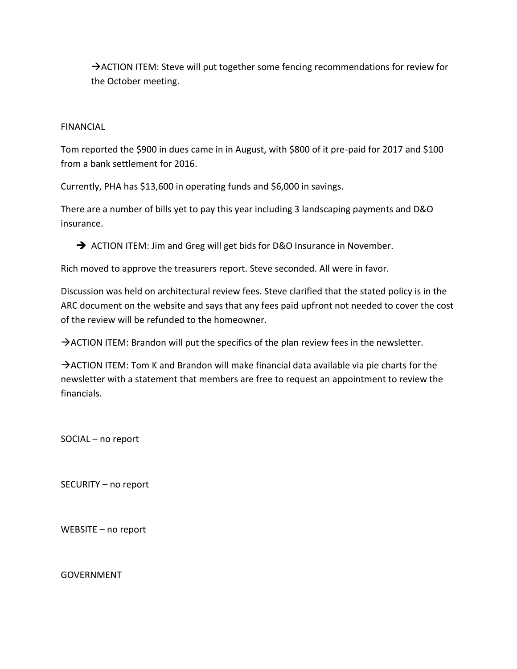→ ACTION ITEM: Steve will put together some fencing recommendations for review for the October meeting.

## FINANCIAL

Tom reported the \$900 in dues came in in August, with \$800 of it pre-paid for 2017 and \$100 from a bank settlement for 2016.

Currently, PHA has \$13,600 in operating funds and \$6,000 in savings.

There are a number of bills yet to pay this year including 3 landscaping payments and D&O insurance.

ACTION ITEM: Jim and Greg will get bids for D&O Insurance in November.

Rich moved to approve the treasurers report. Steve seconded. All were in favor.

Discussion was held on architectural review fees. Steve clarified that the stated policy is in the ARC document on the website and says that any fees paid upfront not needed to cover the cost of the review will be refunded to the homeowner.

 $\rightarrow$  ACTION ITEM: Brandon will put the specifics of the plan review fees in the newsletter.

 $\rightarrow$  ACTION ITEM: Tom K and Brandon will make financial data available via pie charts for the newsletter with a statement that members are free to request an appointment to review the financials.

SOCIAL – no report

SECURITY – no report

WEBSITE – no report

GOVERNMENT